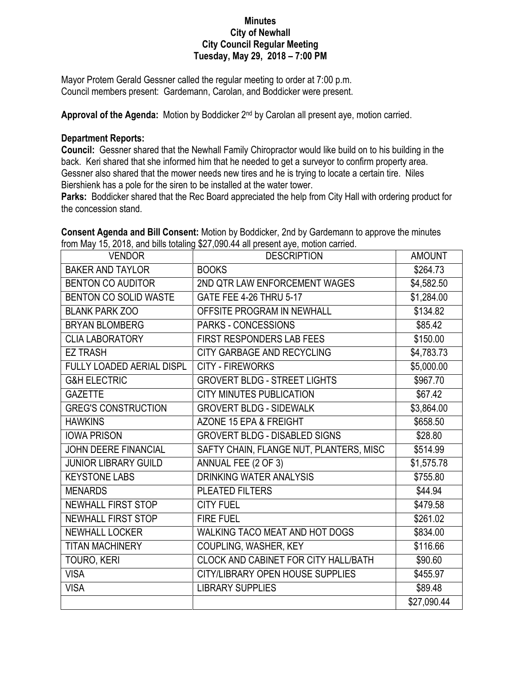## **Minutes City of Newhall City Council Regular Meeting Tuesday, May 29, 2018 – 7:00 PM**

Mayor Protem Gerald Gessner called the regular meeting to order at 7:00 p.m. Council members present: Gardemann, Carolan, and Boddicker were present.

Approval of the Agenda: Motion by Boddicker 2<sup>nd</sup> by Carolan all present aye, motion carried.

## **Department Reports:**

**Council:** Gessner shared that the Newhall Family Chiropractor would like build on to his building in the back. Keri shared that she informed him that he needed to get a surveyor to confirm property area. Gessner also shared that the mower needs new tires and he is trying to locate a certain tire. Niles Biershienk has a pole for the siren to be installed at the water tower.

**Parks:** Boddicker shared that the Rec Board appreciated the help from City Hall with ordering product for the concession stand.

| VENDOR                           | <b>DESCRIPTION</b>                      | <b>AMOUNT</b> |
|----------------------------------|-----------------------------------------|---------------|
| <b>BAKER AND TAYLOR</b>          | <b>BOOKS</b>                            | \$264.73      |
| <b>BENTON CO AUDITOR</b>         | 2ND QTR LAW ENFORCEMENT WAGES           | \$4,582.50    |
| BENTON CO SOLID WASTE            | GATE FEE 4-26 THRU 5-17                 | \$1,284.00    |
| <b>BLANK PARK ZOO</b>            | OFFSITE PROGRAM IN NEWHALL              | \$134.82      |
| <b>BRYAN BLOMBERG</b>            | PARKS - CONCESSIONS                     | \$85.42       |
| <b>CLIA LABORATORY</b>           | <b>FIRST RESPONDERS LAB FEES</b>        | \$150.00      |
| <b>EZ TRASH</b>                  | CITY GARBAGE AND RECYCLING              | \$4,783.73    |
| <b>FULLY LOADED AERIAL DISPL</b> | <b>CITY - FIREWORKS</b>                 | \$5,000.00    |
| <b>G&amp;H ELECTRIC</b>          | <b>GROVERT BLDG - STREET LIGHTS</b>     | \$967.70      |
| <b>GAZETTE</b>                   | <b>CITY MINUTES PUBLICATION</b>         | \$67.42       |
| <b>GREG'S CONSTRUCTION</b>       | <b>GROVERT BLDG - SIDEWALK</b>          | \$3,864.00    |
| <b>HAWKINS</b>                   | AZONE 15 EPA & FREIGHT                  | \$658.50      |
| <b>IOWA PRISON</b>               | <b>GROVERT BLDG - DISABLED SIGNS</b>    | \$28.80       |
| <b>JOHN DEERE FINANCIAL</b>      | SAFTY CHAIN, FLANGE NUT, PLANTERS, MISC | \$514.99      |
| <b>JUNIOR LIBRARY GUILD</b>      | ANNUAL FEE (2 OF 3)                     | \$1,575.78    |
| <b>KEYSTONE LABS</b>             | <b>DRINKING WATER ANALYSIS</b>          | \$755.80      |
| <b>MENARDS</b>                   | PLEATED FILTERS                         | \$44.94       |
| <b>NEWHALL FIRST STOP</b>        | <b>CITY FUEL</b>                        | \$479.58      |
| <b>NEWHALL FIRST STOP</b>        | <b>FIRE FUEL</b>                        | \$261.02      |
| <b>NEWHALL LOCKER</b>            | WALKING TACO MEAT AND HOT DOGS          | \$834.00      |
| <b>TITAN MACHINERY</b>           | COUPLING, WASHER, KEY                   | \$116.66      |
| TOURO, KERI                      | CLOCK AND CABINET FOR CITY HALL/BATH    | \$90.60       |
| <b>VISA</b>                      | CITY/LIBRARY OPEN HOUSE SUPPLIES        | \$455.97      |
| <b>VISA</b>                      | <b>LIBRARY SUPPLIES</b>                 | \$89.48       |
|                                  |                                         | \$27,090.44   |

**Consent Agenda and Bill Consent:** Motion by Boddicker, 2nd by Gardemann to approve the minutes from May 15, 2018, and bills totaling \$27,090.44 all present aye, motion carried.